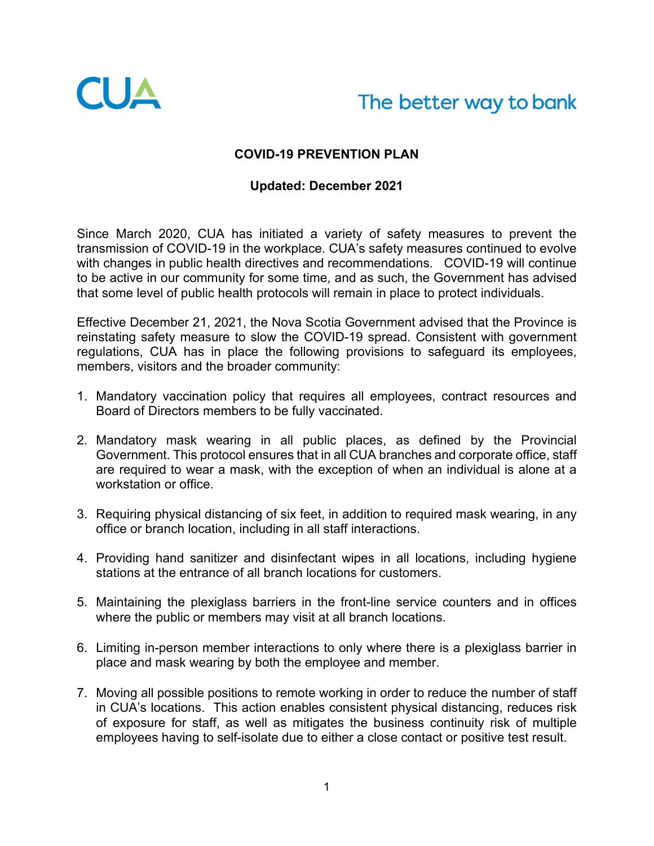

## The better way to bank

## **COVID-19 PREVENTION PLAN**

## **Updated: December 2021**

Since March 2020, CUA has initiated a variety of safety measures to prevent the transmission of COVID-19 in the workplace. CUA's safety measures continued to evolve with changes in public health directives and recommendations. COVID-19 will continue to be active in our community for some time, and as such, the Government has advised that some level of public health protocols will remain in place to protect individuals.

Effective December 21, 2021, the Nova Scotia Government advised that the Province is reinstating safety measure to slow the COVID-19 spread. Consistent with government regulations, CUA has in place the following provisions to safeguard its employees, members, visitors and the broader community:

- 1. Mandatory vaccination policy that requires all employees, contract resources and Board of Directors members to be fully vaccinated.
- 2. Mandatory mask wearing in all public places, as defined by the Provincial Government. This protocol ensures that in all CUA branches and corporate office, staff are required to wear a mask, with the exception of when an individual is alone at a workstation or office.
- 3. Requiring physical distancing of six feet, in addition to required mask wearing, in any office or branch location, including in all staff interactions.
- 4. Providing hand sanitizer and disinfectant wipes in all locations, including hygiene stations at the entrance of all branch locations for customers.
- 5. Maintaining the plexiglass barriers in the front-line service counters and in offices where the public or members may visit at all branch locations.
- 6. Limiting in-person member interactions to only where there is a plexiglass barrier in place and mask wearing by both the employee and member.
- 7. Moving all possible positions to remote working in order to reduce the number of staff in CUA's locations. This action enables consistent physical distancing, reduces risk of exposure for staff, as well as mitigates the business continuity risk of multiple employees having to self-isolate due to either a close contact or positive test result.